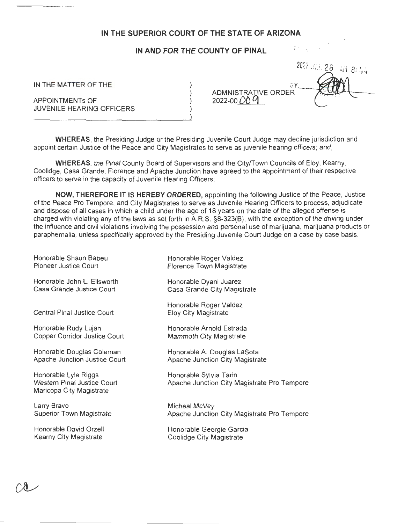## **IN THE SUPERIOR COURT OF THE STATE OF ARIZONA**

## **IN AND FOR THE COUNTY OF PINAL**

IN THE MATTER OF THE

APPOINTMENTs OF JUVENILE HEARING OFFICERS ADMNISTRATIVE ORDER 2022-00 OD **g** 

*2n· 7* , .·,, ..... . t; (, *': !· 2o* ,\_. , /"\ I •  $\overrightarrow{AB}$   $\overrightarrow{B}$ :  $\overrightarrow{LL}$ 

China in A

**Tempore** 

**Tempore** 

**WHEREAS,** the Presiding Judge or the Presiding Juvenile Court Judge may decline jurisdiction and appoint certain Justice of the Peace and City Magistrates to serve as juvenile hearing officers; and,

**WHEREAS,** the Pinal County Board of Supervisors and the City/Town Councils of Eloy, Kearny, Coolidge, Casa Grande, Florence and Apache Junction have agreed to the appointment of their respective officers to serve in the capacity of Juvenile Hearing Officers;

**NOW, THEREFORE IT IS HEREBY ORDERED,** appointing the following Justice of the Peace, Justice of the Peace Pro Tempore, and City Magistrates to serve as Juvenile Hearing Officers to process, adjudicate and dispose of all cases in which a child under the age of 18 years on the date of the alleged offense is charged with violating any of the laws as set forth in A.RS. §8-323(6), with the exception of the driving under the influence and civil violations involving the possession and personal use of marijuana, marijuana products or paraphernalia, unless specifically approved by the Presiding Juvenile Court Judge on a case by case basis.

| Honorable Shaun Babeu                                                           | Honorable Roger Valdez                                        |
|---------------------------------------------------------------------------------|---------------------------------------------------------------|
| Pioneer Justice Court                                                           | Florence Town Magistrate                                      |
| Honorable John L. Ellsworth                                                     | Honorable Dyani Juarez                                        |
| Casa Grande Justice Court                                                       | Casa Grande City Magistrate                                   |
| Central Pinal Justice Court                                                     | Honorable Roger Valdez<br><b>Eloy City Magistrate</b>         |
| Honorable Rudy Lujan                                                            | Honorable Arnold Estrada                                      |
| Copper Corridor Justice Court                                                   | Mammoth City Magistrate                                       |
| Honorable Douglas Coleman                                                       | Honorable A. Douglas LaSota                                   |
| Apache Junction Justice Court                                                   | Apache Junction City Magistrate                               |
| Honorable Lyle Riggs<br>Western Pinal Justice Court<br>Maricopa City Magistrate | Honorable Sylvia Tarin<br>Apache Junction City Magistrate Pro |
| Larry Bravo                                                                     | Micheal McVey                                                 |
| Superior Town Magistrate                                                        | Apache Junction City Magistrate Pro                           |
| Honorable David Orzell                                                          | Honorable Georgie Garcia                                      |
| Kearny City Magistrate                                                          | Coolidge City Magistrate                                      |